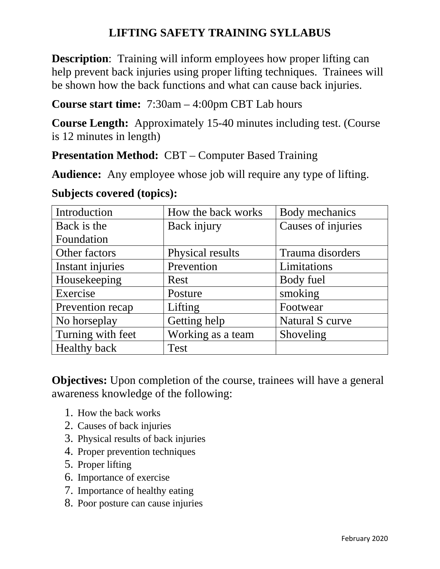## **LIFTING SAFETY TRAINING SYLLABUS**

**Description:** Training will inform employees how proper lifting can help prevent back injuries using proper lifting techniques. Trainees will be shown how the back functions and what can cause back injuries.

**Course start time:** 7:30am – 4:00pm CBT Lab hours

**Course Length:** Approximately 15-40 minutes including test. (Course is 12 minutes in length)

**Presentation Method:** CBT – Computer Based Training

**Audience:** Any employee whose job will require any type of lifting.

**Subjects covered (topics):** 

| Introduction        | How the back works | Body mechanics     |
|---------------------|--------------------|--------------------|
| Back is the         | Back injury        | Causes of injuries |
| Foundation          |                    |                    |
| Other factors       | Physical results   | Trauma disorders   |
| Instant injuries    | Prevention         | Limitations        |
| Housekeeping        | Rest               | Body fuel          |
| Exercise            | Posture            | smoking            |
| Prevention recap    | Lifting            | Footwear           |
| No horseplay        | Getting help       | Natural S curve    |
| Turning with feet   | Working as a team  | Shoveling          |
| <b>Healthy back</b> | <b>Test</b>        |                    |

**Objectives:** Upon completion of the course, trainees will have a general awareness knowledge of the following:

- 1. How the back works
- 2. Causes of back injuries
- 3. Physical results of back injuries
- 4. Proper prevention techniques
- 5. Proper lifting
- 6. Importance of exercise
- 7. Importance of healthy eating
- 8. Poor posture can cause injuries